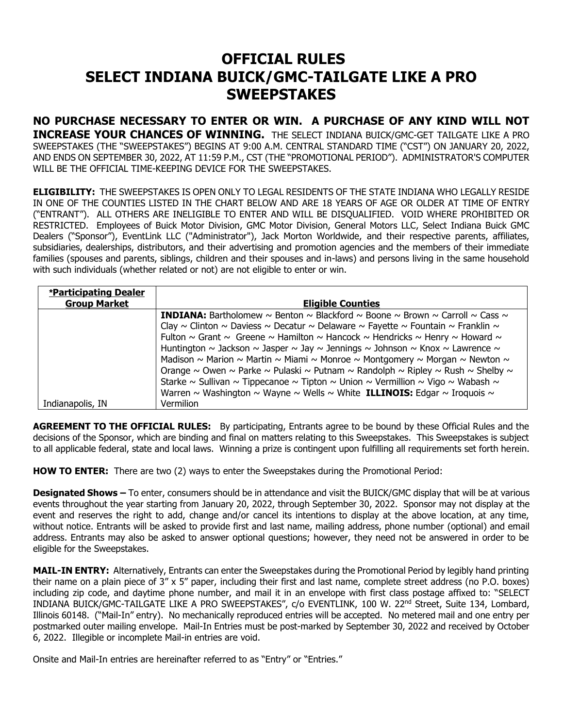## **OFFICIAL RULES SELECT INDIANA BUICK/GMC-TAILGATE LIKE A PRO SWEEPSTAKES**

**NO PURCHASE NECESSARY TO ENTER OR WIN. A PURCHASE OF ANY KIND WILL NOT INCREASE YOUR CHANCES OF WINNING.** THE SELECT INDIANA BUICK/GMC-GET TAILGATE LIKE A PRO SWEEPSTAKES (THE "SWEEPSTAKES") BEGINS AT 9:00 A.M. CENTRAL STANDARD TIME ("CST") ON JANUARY 20, 2022, AND ENDS ON SEPTEMBER 30, 2022, AT 11:59 P.M., CST (THE "PROMOTIONAL PERIOD"). ADMINISTRATOR'S COMPUTER WILL BE THE OFFICIAL TIME-KEEPING DEVICE FOR THE SWEEPSTAKES.

**ELIGIBILITY:** THE SWEEPSTAKES IS OPEN ONLY TO LEGAL RESIDENTS OF THE STATE INDIANA WHO LEGALLY RESIDE IN ONE OF THE COUNTIES LISTED IN THE CHART BELOW AND ARE 18 YEARS OF AGE OR OLDER AT TIME OF ENTRY ("ENTRANT"). ALL OTHERS ARE INELIGIBLE TO ENTER AND WILL BE DISQUALIFIED. VOID WHERE PROHIBITED OR RESTRICTED. Employees of Buick Motor Division, GMC Motor Division, General Motors LLC, Select Indiana Buick GMC Dealers ("Sponsor"), EventLink LLC ("Administrator"), Jack Morton Worldwide, and their respective parents, affiliates, subsidiaries, dealerships, distributors, and their advertising and promotion agencies and the members of their immediate families (spouses and parents, siblings, children and their spouses and in-laws) and persons living in the same household with such individuals (whether related or not) are not eligible to enter or win.

| *Participating Dealer |                                                                                                                        |
|-----------------------|------------------------------------------------------------------------------------------------------------------------|
| <b>Group Market</b>   | <b>Eligible Counties</b>                                                                                               |
|                       | <b>INDIANA:</b> Bartholomew $\sim$ Benton $\sim$ Blackford $\sim$ Boone $\sim$ Brown $\sim$ Carroll $\sim$ Cass $\sim$ |
|                       | Clay ~ Clinton ~ Daviess ~ Decatur ~ Delaware ~ Fayette ~ Fountain ~ Franklin ~                                        |
|                       | Fulton ~ Grant ~ Greene ~ Hamilton ~ Hancock ~ Hendricks ~ Henry ~ Howard ~                                            |
|                       | Huntington $\sim$ Jackson $\sim$ Jasper $\sim$ Jay $\sim$ Jennings $\sim$ Johnson $\sim$ Knox $\sim$ Lawrence $\sim$   |
|                       | Madison ~ Marion ~ Martin ~ Miami ~ Monroe ~ Montgomery ~ Morgan ~ Newton ~                                            |
|                       | Orange ~ Owen ~ Parke ~ Pulaski ~ Putnam ~ Randolph ~ Ripley ~ Rush ~ Shelby ~                                         |
|                       | Starke ~ Sullivan ~ Tippecanoe ~ Tipton ~ Union ~ Vermillion ~ Vigo ~ Wabash ~                                         |
|                       | Warren ~ Washington ~ Wayne ~ Wells ~ White ILLINOIS: Edgar ~ Iroquois ~                                               |
| Indianapolis, IN      | <b>Vermilion</b>                                                                                                       |

**AGREEMENT TO THE OFFICIAL RULES:** By participating, Entrants agree to be bound by these Official Rules and the decisions of the Sponsor, which are binding and final on matters relating to this Sweepstakes. This Sweepstakes is subject to all applicable federal, state and local laws. Winning a prize is contingent upon fulfilling all requirements set forth herein.

**HOW TO ENTER:** There are two (2) ways to enter the Sweepstakes during the Promotional Period:

**Designated Shows –** To enter, consumers should be in attendance and visit the BUICK/GMC display that will be at various events throughout the year starting from January 20, 2022, through September 30, 2022. Sponsor may not display at the event and reserves the right to add, change and/or cancel its intentions to display at the above location, at any time, without notice. Entrants will be asked to provide first and last name, mailing address, phone number (optional) and email address. Entrants may also be asked to answer optional questions; however, they need not be answered in order to be eligible for the Sweepstakes.

**MAIL-IN ENTRY:** Alternatively, Entrants can enter the Sweepstakes during the Promotional Period by legibly hand printing their name on a plain piece of 3" x 5" paper, including their first and last name, complete street address (no P.O. boxes) including zip code, and daytime phone number, and mail it in an envelope with first class postage affixed to: "SELECT INDIANA BUICK/GMC-TAILGATE LIKE A PRO SWEEPSTAKES", c/o EVENTLINK, 100 W. 22<sup>nd</sup> Street, Suite 134, Lombard, Illinois 60148. ("Mail-In" entry). No mechanically reproduced entries will be accepted. No metered mail and one entry per postmarked outer mailing envelope. Mail-In Entries must be post-marked by September 30, 2022 and received by October 6, 2022. Illegible or incomplete Mail-in entries are void.

Onsite and Mail-In entries are hereinafter referred to as "Entry" or "Entries."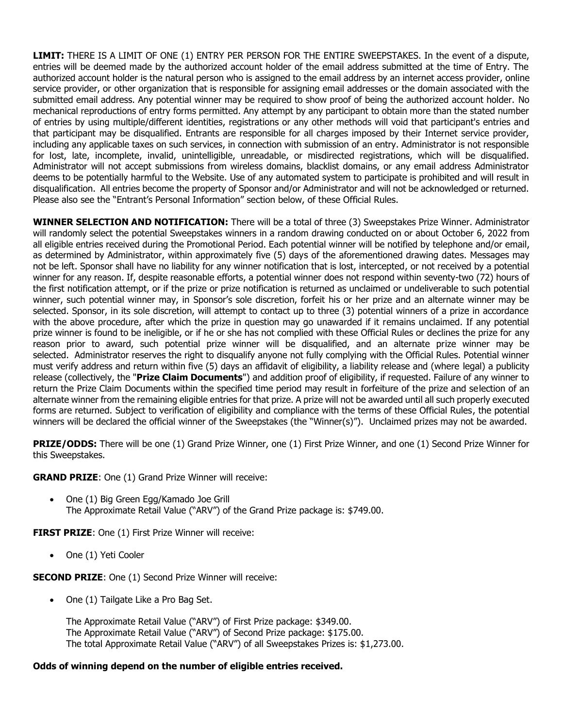**LIMIT:** THERE IS A LIMIT OF ONE (1) ENTRY PER PERSON FOR THE ENTIRE SWEEPSTAKES. In the event of a dispute, entries will be deemed made by the authorized account holder of the email address submitted at the time of Entry. The authorized account holder is the natural person who is assigned to the email address by an internet access provider, online service provider, or other organization that is responsible for assigning email addresses or the domain associated with the submitted email address. Any potential winner may be required to show proof of being the authorized account holder. No mechanical reproductions of entry forms permitted. Any attempt by any participant to obtain more than the stated number of entries by using multiple/different identities, registrations or any other methods will void that participant's entries and that participant may be disqualified. Entrants are responsible for all charges imposed by their Internet service provider, including any applicable taxes on such services, in connection with submission of an entry. Administrator is not responsible for lost, late, incomplete, invalid, unintelligible, unreadable, or misdirected registrations, which will be disqualified. Administrator will not accept submissions from wireless domains, blacklist domains, or any email address Administrator deems to be potentially harmful to the Website. Use of any automated system to participate is prohibited and will result in disqualification. All entries become the property of Sponsor and/or Administrator and will not be acknowledged or returned. Please also see the "Entrant's Personal Information" section below, of these Official Rules.

**WINNER SELECTION AND NOTIFICATION:** There will be a total of three (3) Sweepstakes Prize Winner. Administrator will randomly select the potential Sweepstakes winners in a random drawing conducted on or about October 6, 2022 from all eligible entries received during the Promotional Period. Each potential winner will be notified by telephone and/or email, as determined by Administrator, within approximately five (5) days of the aforementioned drawing dates. Messages may not be left. Sponsor shall have no liability for any winner notification that is lost, intercepted, or not received by a potential winner for any reason. If, despite reasonable efforts, a potential winner does not respond within seventy-two (72) hours of the first notification attempt, or if the prize or prize notification is returned as unclaimed or undeliverable to such potential winner, such potential winner may, in Sponsor's sole discretion, forfeit his or her prize and an alternate winner may be selected. Sponsor, in its sole discretion, will attempt to contact up to three (3) potential winners of a prize in accordance with the above procedure, after which the prize in question may go unawarded if it remains unclaimed. If any potential prize winner is found to be ineligible, or if he or she has not complied with these Official Rules or declines the prize for any reason prior to award, such potential prize winner will be disqualified, and an alternate prize winner may be selected. Administrator reserves the right to disqualify anyone not fully complying with the Official Rules. Potential winner must verify address and return within five (5) days an affidavit of eligibility, a liability release and (where legal) a publicity release (collectively, the "**Prize Claim Documents**") and addition proof of eligibility, if requested. Failure of any winner to return the Prize Claim Documents within the specified time period may result in forfeiture of the prize and selection of an alternate winner from the remaining eligible entries for that prize. A prize will not be awarded until all such properly executed forms are returned. Subject to verification of eligibility and compliance with the terms of these Official Rules, the potential winners will be declared the official winner of the Sweepstakes (the "Winner(s)"). Unclaimed prizes may not be awarded.

**PRIZE/ODDS:** There will be one (1) Grand Prize Winner, one (1) First Prize Winner, and one (1) Second Prize Winner for this Sweepstakes.

**GRAND PRIZE**: One (1) Grand Prize Winner will receive:

• One (1) Big Green Egg/Kamado Joe Grill The Approximate Retail Value ("ARV") of the Grand Prize package is: \$749.00.

**FIRST PRIZE:** One (1) First Prize Winner will receive:

• One (1) Yeti Cooler

**SECOND PRIZE:** One (1) Second Prize Winner will receive:

• One (1) Tailgate Like a Pro Bag Set.

The Approximate Retail Value ("ARV") of First Prize package: \$349.00. The Approximate Retail Value ("ARV") of Second Prize package: \$175.00. The total Approximate Retail Value ("ARV") of all Sweepstakes Prizes is: \$1,273.00.

## **Odds of winning depend on the number of eligible entries received.**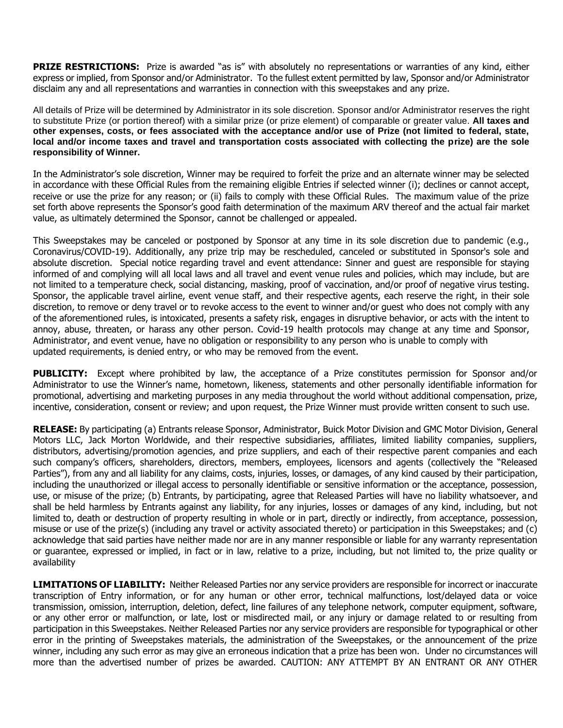**PRIZE RESTRICTIONS:** Prize is awarded "as is" with absolutely no representations or warranties of any kind, either express or implied, from Sponsor and/or Administrator. To the fullest extent permitted by law, Sponsor and/or Administrator disclaim any and all representations and warranties in connection with this sweepstakes and any prize.

All details of Prize will be determined by Administrator in its sole discretion. Sponsor and/or Administrator reserves the right to substitute Prize (or portion thereof) with a similar prize (or prize element) of comparable or greater value. **All taxes and other expenses, costs, or fees associated with the acceptance and/or use of Prize (not limited to federal, state, local and/or income taxes and travel and transportation costs associated with collecting the prize) are the sole responsibility of Winner.**

In the Administrator's sole discretion, Winner may be required to forfeit the prize and an alternate winner may be selected in accordance with these Official Rules from the remaining eligible Entries if selected winner (i); declines or cannot accept, receive or use the prize for any reason; or (ii) fails to comply with these Official Rules. The maximum value of the prize set forth above represents the Sponsor's good faith determination of the maximum ARV thereof and the actual fair market value, as ultimately determined the Sponsor, cannot be challenged or appealed.

This Sweepstakes may be canceled or postponed by Sponsor at any time in its sole discretion due to pandemic (e.g., Coronavirus/COVID-19). Additionally, any prize trip may be rescheduled, canceled or substituted in Sponsor's sole and absolute discretion. Special notice regarding travel and event attendance: Sinner and guest are responsible for staying informed of and complying will all local laws and all travel and event venue rules and policies, which may include, but are not limited to a temperature check, social distancing, masking, proof of vaccination, and/or proof of negative virus testing. Sponsor, the applicable travel airline, event venue staff, and their respective agents, each reserve the right, in their sole discretion, to remove or deny travel or to revoke access to the event to winner and/or guest who does not comply with any of the aforementioned rules, is intoxicated, presents a safety risk, engages in disruptive behavior, or acts with the intent to annoy, abuse, threaten, or harass any other person. Covid-19 health protocols may change at any time and Sponsor, Administrator, and event venue, have no obligation or responsibility to any person who is unable to comply with updated requirements, is denied entry, or who may be removed from the event.

**PUBLICITY:** Except where prohibited by law, the acceptance of a Prize constitutes permission for Sponsor and/or Administrator to use the Winner's name, hometown, likeness, statements and other personally identifiable information for promotional, advertising and marketing purposes in any media throughout the world without additional compensation, prize, incentive, consideration, consent or review; and upon request, the Prize Winner must provide written consent to such use.

**RELEASE:** By participating (a) Entrants release Sponsor, Administrator, Buick Motor Division and GMC Motor Division, General Motors LLC, Jack Morton Worldwide, and their respective subsidiaries, affiliates, limited liability companies, suppliers, distributors, advertising/promotion agencies, and prize suppliers, and each of their respective parent companies and each such company's officers, shareholders, directors, members, employees, licensors and agents (collectively the "Released Parties"), from any and all liability for any claims, costs, injuries, losses, or damages, of any kind caused by their participation, including the unauthorized or illegal access to personally identifiable or sensitive information or the acceptance, possession, use, or misuse of the prize; (b) Entrants, by participating, agree that Released Parties will have no liability whatsoever, and shall be held harmless by Entrants against any liability, for any injuries, losses or damages of any kind, including, but not limited to, death or destruction of property resulting in whole or in part, directly or indirectly, from acceptance, possession, misuse or use of the prize(s) (including any travel or activity associated thereto) or participation in this Sweepstakes; and (c) acknowledge that said parties have neither made nor are in any manner responsible or liable for any warranty representation or guarantee, expressed or implied, in fact or in law, relative to a prize, including, but not limited to, the prize quality or availability

**LIMITATIONS OF LIABILITY:** Neither Released Parties nor any service providers are responsible for incorrect or inaccurate transcription of Entry information, or for any human or other error, technical malfunctions, lost/delayed data or voice transmission, omission, interruption, deletion, defect, line failures of any telephone network, computer equipment, software, or any other error or malfunction, or late, lost or misdirected mail, or any injury or damage related to or resulting from participation in this Sweepstakes. Neither Released Parties nor any service providers are responsible for typographical or other error in the printing of Sweepstakes materials, the administration of the Sweepstakes, or the announcement of the prize winner, including any such error as may give an erroneous indication that a prize has been won. Under no circumstances will more than the advertised number of prizes be awarded. CAUTION: ANY ATTEMPT BY AN ENTRANT OR ANY OTHER